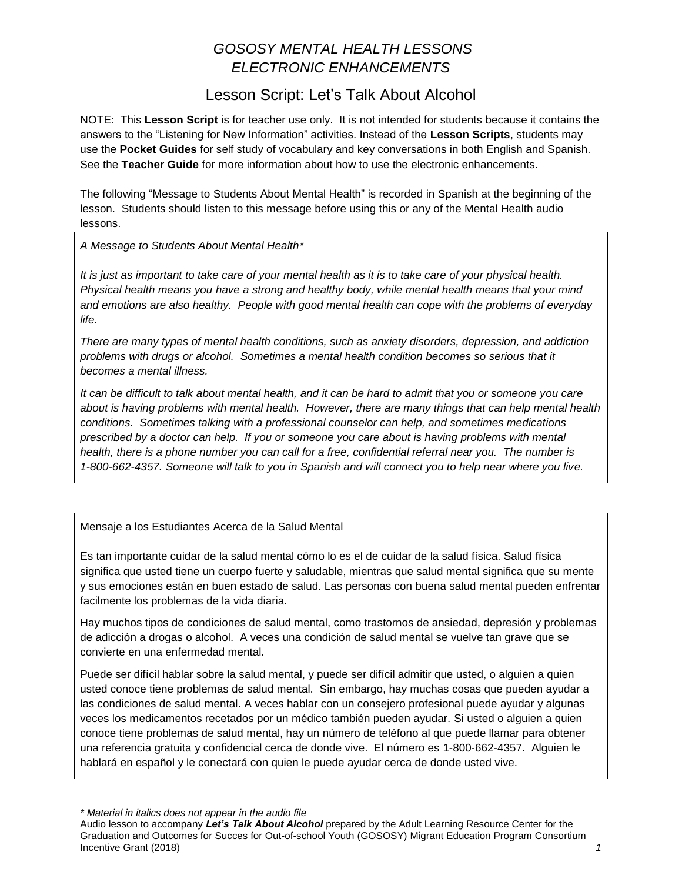# *GOSOSY MENTAL HEALTH LESSONS ELECTRONIC ENHANCEMENTS*

### Lesson Script: Let's Talk About Alcohol

NOTE: This **Lesson Script** is for teacher use only. It is not intended for students because it contains the answers to the "Listening for New Information" activities. Instead of the **Lesson Scripts**, students may use the **Pocket Guides** for self study of vocabulary and key conversations in both English and Spanish. See the **Teacher Guide** for more information about how to use the electronic enhancements.

The following "Message to Students About Mental Health" is recorded in Spanish at the beginning of the lesson. Students should listen to this message before using this or any of the Mental Health audio lessons.

*A Message to Students About Mental Health\**

*It is just as important to take care of your mental health as it is to take care of your physical health. Physical health means you have a strong and healthy body, while mental health means that your mind and emotions are also healthy. People with good mental health can cope with the problems of everyday life.*

*There are many types of mental health conditions, such as anxiety disorders, depression, and addiction problems with drugs or alcohol. Sometimes a mental health condition becomes so serious that it becomes a mental illness.* 

*It can be difficult to talk about mental health, and it can be hard to admit that you or someone you care about is having problems with mental health. However, there are many things that can help mental health conditions. Sometimes talking with a professional counselor can help, and sometimes medications prescribed by a doctor can help. If you or someone you care about is having problems with mental health, there is a phone number you can call for a free, confidential referral near you. The number is 1-800-662-4357. Someone will talk to you in Spanish and will connect you to help near where you live.*

Mensaje a los Estudiantes Acerca de la Salud Mental

Es tan importante cuidar de la salud mental cómo lo es el de cuidar de la salud física. Salud física significa que usted tiene un cuerpo fuerte y saludable, mientras que salud mental significa que su mente y sus emociones están en buen estado de salud. Las personas con buena salud mental pueden enfrentar facilmente los problemas de la vida diaria.

Hay muchos tipos de condiciones de salud mental, como trastornos de ansiedad, depresión y problemas de adicción a drogas o alcohol. A veces una condición de salud mental se vuelve tan grave que se convierte en una enfermedad mental.

Puede ser difícil hablar sobre la salud mental, y puede ser difícil admitir que usted, o alguien a quien usted conoce tiene problemas de salud mental. Sin embargo, hay muchas cosas que pueden ayudar a las condiciones de salud mental. A veces hablar con un consejero profesional puede ayudar y algunas veces los medicamentos recetados por un médico también pueden ayudar. Si usted o alguien a quien conoce tiene problemas de salud mental, hay un número de teléfono al que puede llamar para obtener una referencia gratuita y confidencial cerca de donde vive. El número es 1-800-662-4357. Alguien le hablará en español y le conectará con quien le puede ayudar cerca de donde usted vive.

*\* Material in italics does not appear in the audio file*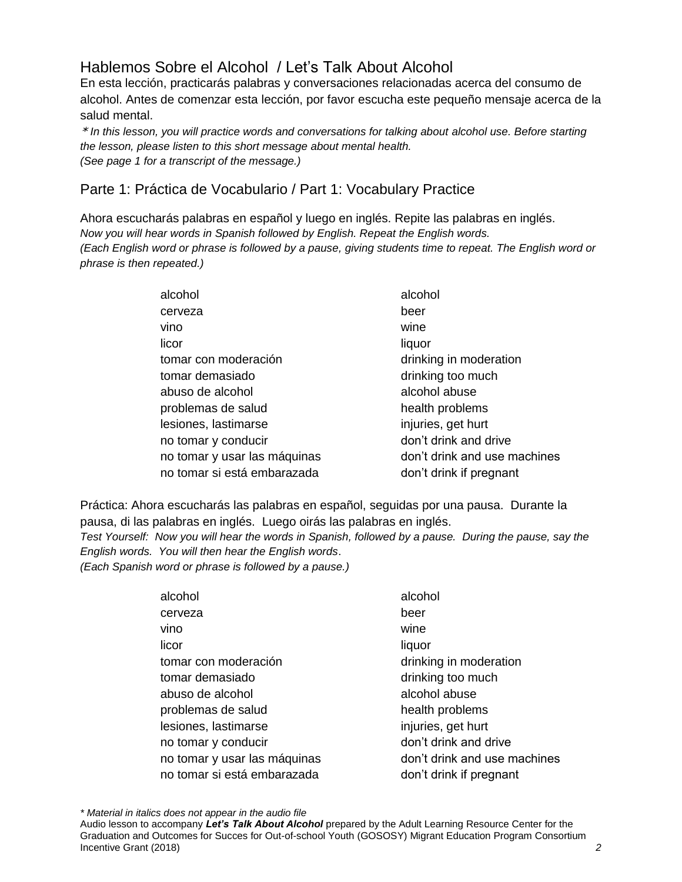## Hablemos Sobre el Alcohol / Let's Talk About Alcohol

En esta lección, practicarás palabras y conversaciones relacionadas acerca del consumo de alcohol. Antes de comenzar esta lección, por favor escucha este pequeño mensaje acerca de la salud mental.

\* *In this lesson, you will practice words and conversations for talking about alcohol use. Before starting the lesson, please listen to this short message about mental health. (See page 1 for a transcript of the message.)* 

### Parte 1: Práctica de Vocabulario / Part 1: Vocabulary Practice

Ahora escucharás palabras en español y luego en inglés. Repite las palabras en inglés. *Now you will hear words in Spanish followed by English. Repeat the English words. (Each English word or phrase is followed by a pause, giving students time to repeat. The English word or phrase is then repeated.)*

| alcohol                      | alcohol                      |
|------------------------------|------------------------------|
| cerveza                      | beer                         |
| vino                         | wine                         |
| licor                        | liquor                       |
| tomar con moderación         | drinking in moderation       |
| tomar demasiado              | drinking too much            |
| abuso de alcohol             | alcohol abuse                |
| problemas de salud           | health problems              |
| lesiones, lastimarse         | injuries, get hurt           |
| no tomar y conducir          | don't drink and drive        |
| no tomar y usar las máquinas | don't drink and use machines |
| no tomar si está embarazada  | don't drink if pregnant      |

Práctica: Ahora escucharás las palabras en español, seguidas por una pausa. Durante la pausa, di las palabras en inglés. Luego oirás las palabras en inglés.

*Test Yourself: Now you will hear the words in Spanish, followed by a pause. During the pause, say the English words. You will then hear the English words*.

*(Each Spanish word or phrase is followed by a pause.)*

| alcohol                      | alcohol                      |
|------------------------------|------------------------------|
| cerveza                      | beer                         |
| vino                         | wine                         |
| licor                        | liquor                       |
| tomar con moderación         | drinking in moderation       |
| tomar demasiado              | drinking too much            |
| abuso de alcohol             | alcohol abuse                |
| problemas de salud           | health problems              |
| lesiones, lastimarse         | injuries, get hurt           |
| no tomar y conducir          | don't drink and drive        |
| no tomar y usar las máquinas | don't drink and use machines |
| no tomar si está embarazada  | don't drink if pregnant      |

*\* Material in italics does not appear in the audio file*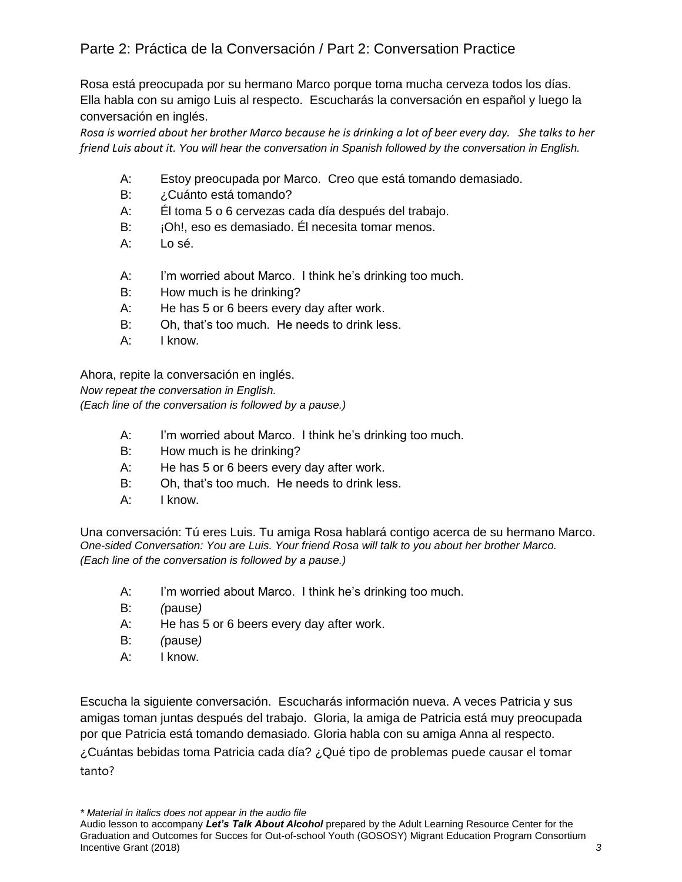Rosa está preocupada por su hermano Marco porque toma mucha cerveza todos los días. Ella habla con su amigo Luis al respecto. Escucharás la conversación en español y luego la conversación en inglés.

*Rosa is worried about her brother Marco because he is drinking a lot of beer every day. She talks to her friend Luis about it. You will hear the conversation in Spanish followed by the conversation in English.* 

- A: Estoy preocupada por Marco. Creo que está tomando demasiado.
- B: ¿Cuánto está tomando?
- A: Él toma 5 o 6 cervezas cada día después del trabajo.
- B: iOh!, eso es demasiado. Él necesita tomar menos.
- A: Lo sé.
- A: I'm worried about Marco. I think he's drinking too much.
- B: How much is he drinking?
- A: He has 5 or 6 beers every day after work.
- B: Oh, that's too much. He needs to drink less.
- A: I know.

Ahora, repite la conversación en inglés.

*Now repeat the conversation in English.* 

*(Each line of the conversation is followed by a pause.)*

- A: I'm worried about Marco. I think he's drinking too much.
- B: How much is he drinking?
- A: He has 5 or 6 beers every day after work.
- B: Oh, that's too much. He needs to drink less.
- A: I know.

Una conversación: Tú eres Luis. Tu amiga Rosa hablará contigo acerca de su hermano Marco. *One-sided Conversation: You are Luis. Your friend Rosa will talk to you about her brother Marco. (Each line of the conversation is followed by a pause.)*

- A: I'm worried about Marco. I think he's drinking too much.
- B: *(*pause*)*
- A: He has 5 or 6 beers every day after work.
- B: *(*pause*)*
- A: I know.

Escucha la siguiente conversación. Escucharás información nueva. A veces Patricia y sus amigas toman juntas después del trabajo. Gloria, la amiga de Patricia está muy preocupada por que Patricia está tomando demasiado. Gloria habla con su amiga Anna al respecto. ¿Cuántas bebidas toma Patricia cada día? ¿Qué tipo de problemas puede causar el tomar tanto?

*\* Material in italics does not appear in the audio file*

Audio lesson to accompany *Let's Talk About Alcohol* prepared by the Adult Learning Resource Center for the Graduation and Outcomes for Succes for Out-of-school Youth (GOSOSY) Migrant Education Program Consortium Incentive Grant (2018) *3*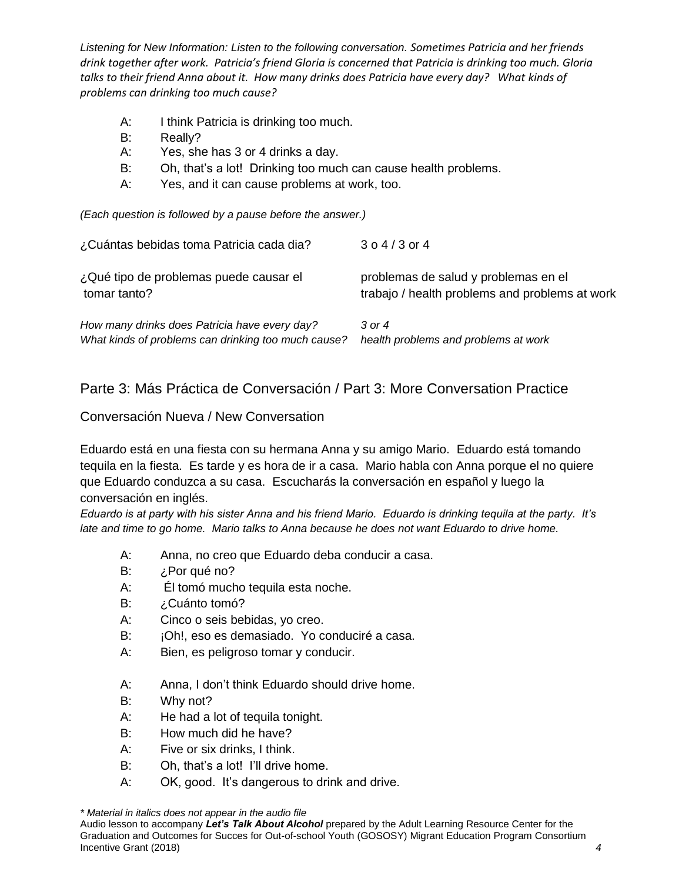*Listening for New Information: Listen to the following conversation. Sometimes Patricia and her friends drink together after work. Patricia's friend Gloria is concerned that Patricia is drinking too much. Gloria talks to their friend Anna about it. How many drinks does Patricia have every day? What kinds of problems can drinking too much cause?* 

- A: I think Patricia is drinking too much.
- B: Really?
- A: Yes, she has 3 or 4 drinks a day.
- B: Oh, that's a lot! Drinking too much can cause health problems.
- A: Yes, and it can cause problems at work, too.

*(Each question is followed by a pause before the answer.)*

| ¿Cuántas bebidas toma Patricia cada dia?            | $304/3$ or 4                                   |
|-----------------------------------------------------|------------------------------------------------|
| ¿Qué tipo de problemas puede causar el              | problemas de salud y problemas en el           |
| tomar tanto?                                        | trabajo / health problems and problems at work |
| How many drinks does Patricia have every day?       | $3$ or 4                                       |
| What kinds of problems can drinking too much cause? | health problems and problems at work           |

#### Parte 3: Más Práctica de Conversación / Part 3: More Conversation Practice

#### Conversación Nueva / New Conversation

Eduardo está en una fiesta con su hermana Anna y su amigo Mario. Eduardo está tomando tequila en la fiesta. Es tarde y es hora de ir a casa. Mario habla con Anna porque el no quiere que Eduardo conduzca a su casa. Escucharás la conversación en español y luego la conversación en inglés.

*Eduardo is at party with his sister Anna and his friend Mario. Eduardo is drinking tequila at the party. It's late and time to go home. Mario talks to Anna because he does not want Eduardo to drive home.* 

- A: Anna, no creo que Eduardo deba conducir a casa.
- B: ¿Por qué no?
- A: Él tomó mucho tequila esta noche.
- B: ¿Cuánto tomó?
- A: Cinco o seis bebidas, yo creo.
- B: jOh!, eso es demasiado. Yo conduciré a casa.
- A: Bien, es peligroso tomar y conducir.
- A: Anna, I don't think Eduardo should drive home.
- B: Why not?
- A: He had a lot of tequila tonight.
- B: How much did he have?
- A: Five or six drinks, I think.
- B: Oh, that's a lot! I'll drive home.
- A: OK, good. It's dangerous to drink and drive.

*\* Material in italics does not appear in the audio file*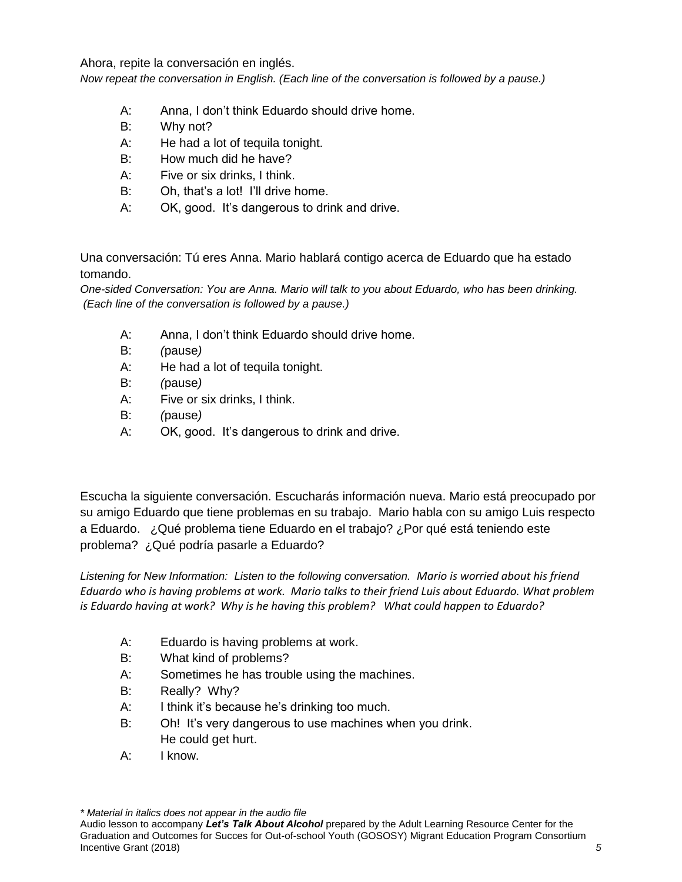Ahora, repite la conversación en inglés.

*Now repeat the conversation in English. (Each line of the conversation is followed by a pause.)*

- A: Anna, I don't think Eduardo should drive home.
- B: Why not?
- A: He had a lot of tequila tonight.
- B: How much did he have?
- A: Five or six drinks, I think.
- B: Oh, that's a lot! I'll drive home.
- A: OK, good. It's dangerous to drink and drive.

Una conversación: Tú eres Anna. Mario hablará contigo acerca de Eduardo que ha estado tomando.

*One-sided Conversation: You are Anna. Mario will talk to you about Eduardo, who has been drinking. (Each line of the conversation is followed by a pause.)*

- A: Anna, I don't think Eduardo should drive home.
- B: *(*pause*)*
- A: He had a lot of tequila tonight.
- B: *(*pause*)*
- A: Five or six drinks, I think.
- B: *(*pause*)*
- A: OK, good. It's dangerous to drink and drive.

Escucha la siguiente conversación. Escucharás información nueva. Mario está preocupado por su amigo Eduardo que tiene problemas en su trabajo. Mario habla con su amigo Luis respecto a Eduardo. ¿Qué problema tiene Eduardo en el trabajo? ¿Por qué está teniendo este problema? ¿Qué podría pasarle a Eduardo?

*Listening for New Information: Listen to the following conversation. Mario is worried about his friend Eduardo who is having problems at work. Mario talks to their friend Luis about Eduardo. What problem is Eduardo having at work? Why is he having this problem? What could happen to Eduardo?*

- A: Eduardo is having problems at work.
- B: What kind of problems?
- A: Sometimes he has trouble using the machines.
- B: Really? Why?
- A: I think it's because he's drinking too much.
- B: Oh! It's very dangerous to use machines when you drink. He could get hurt.
- A: I know.

*\* Material in italics does not appear in the audio file*